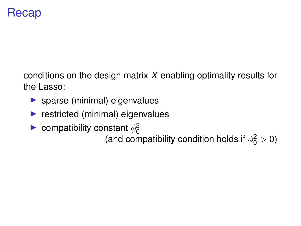## Recap

conditions on the design matrix *X* enabling optimality results for the Lasso:

- $\blacktriangleright$  sparse (minimal) eigenvalues
- $\blacktriangleright$  restricted (minimal) eigenvalues
- **D** compatibility constant  $\phi_0^2$

(and compatibility condition holds if  $\phi_0^2 > 0$ )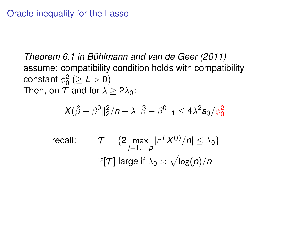## Oracle inequality for the Lasso

*Theorem 6.1 in Buhlmann and van de Geer (2011) ¨* assume: compatibility condition holds with compatibility constant  $\phi_0^2$  ( $\geq L > 0$ ) Then, on  $T$  and for  $\lambda > 2\lambda_0$ :

$$
\|X(\hat{\beta}-\beta^0\|_2^2/n+\lambda\|\hat{\beta}-\beta^0\|_1\leq 4\lambda^2s_0/\phi_0^2
$$

recall: 
$$
\mathcal{T} = \{2 \max_{j=1,\dots,p} |\varepsilon^T X^{(j)}/n| \leq \lambda_0\}
$$

$$
\mathbb{P}[\mathcal{T}] \text{ large if } \lambda_0 \asymp \sqrt{\log(p)/n}
$$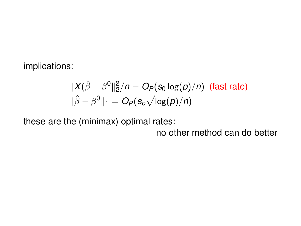implications:

$$
\|X(\hat{\beta} - \beta^0\|_2^2/n = O_P(s_0 \log(p)/n)
$$
 (fast rate)  

$$
\|\hat{\beta} - \beta^0\|_1 = O_P(s_0 \sqrt{\log(p)/n})
$$

these are the (minimax) optimal rates:

no other method can do better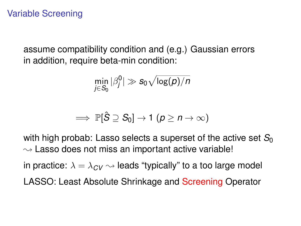assume compatibility condition and (e.g.) Gaussian errors in addition, require beta-min condition:

$$
\min_{j\in S_0}|\beta_j^0|\gg s_0\sqrt{\log(\rho)/n}
$$

$$
\implies \mathbb{P}[\hat{S} \supseteq S_0] \to 1 \ (p \geq n \to \infty)
$$

with high probab: Lasso selects a superset of the active set  $S_0$  $\rightsquigarrow$  Lasso does not miss an important active variable!

in practice:  $\lambda = \lambda_{CV} \sim$  leads "typically" to a too large model

LASSO: Least Absolute Shrinkage and Screening Operator